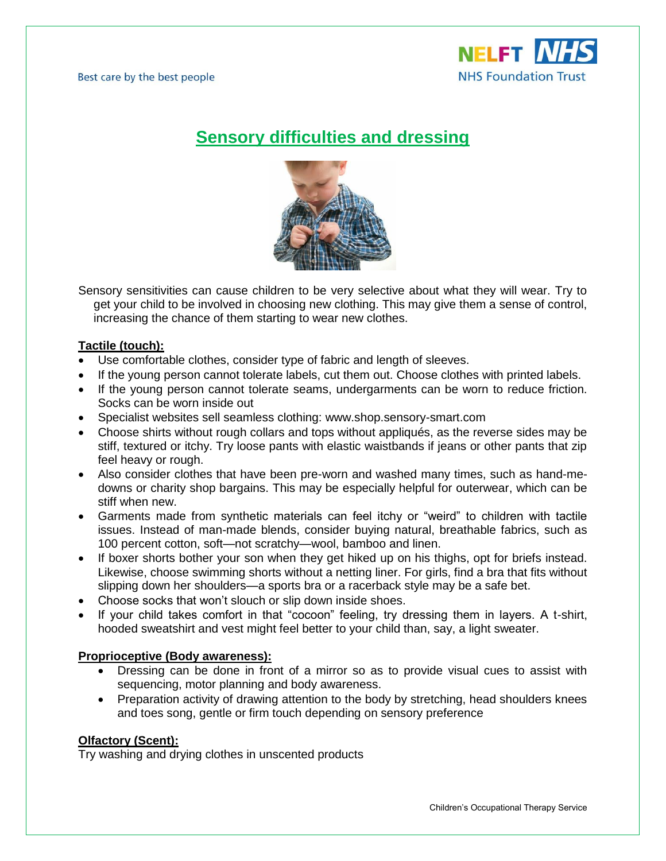

# **Sensory difficulties and dressing**



Sensory sensitivities can cause children to be very selective about what they will wear. Try to get your child to be involved in choosing new clothing. This may give them a sense of control, increasing the chance of them starting to wear new clothes.

## **Tactile (touch):**

- Use comfortable clothes, consider type of fabric and length of sleeves.
- If the young person cannot tolerate labels, cut them out. Choose clothes with printed labels.
- If the young person cannot tolerate seams, undergarments can be worn to reduce friction. Socks can be worn inside out
- Specialist websites sell seamless clothing: www.shop.sensory-smart.com
- Choose shirts without rough collars and tops without appliqués, as the reverse sides may be stiff, textured or itchy. Try loose pants with elastic waistbands if jeans or other pants that zip feel heavy or rough.
- Also consider clothes that have been pre-worn and washed many times, such as hand-medowns or charity shop bargains. This may be [especially helpful for outerwear,](https://www.understood.org/en/learning-attention-issues/child-learning-disabilities/sensory-processing-issues/what-to-do-when-your-child-refuses-to-put-on-winter-clothes) which can be stiff when new.
- Garments made from synthetic materials can feel itchy or "weird" to children with tactile issues. Instead of man-made blends, consider buying natural, breathable fabrics, such as 100 percent cotton, soft—not scratchy—wool, bamboo and linen.
- If boxer shorts bother your son when they get hiked up on his thighs, opt for briefs instead. Likewise, choose swimming shorts without a netting liner. For girls, find a bra that fits without slipping down her shoulders—a sports bra or a racerback style may be a safe bet.
- Choose socks that won't slouch or slip down inside shoes.
- If your child takes comfort in that "cocoon" feeling, try dressing them in layers. A t-shirt, hooded sweatshirt and vest might feel better to your child than, say, a light sweater.

## **Proprioceptive (Body awareness):**

- Dressing can be done in front of a mirror so as to provide visual cues to assist with sequencing, motor planning and body awareness.
- Preparation activity of drawing attention to the body by stretching, head shoulders knees and toes song, gentle or firm touch depending on sensory preference

## **Olfactory (Scent):**

Try washing and drying clothes in unscented products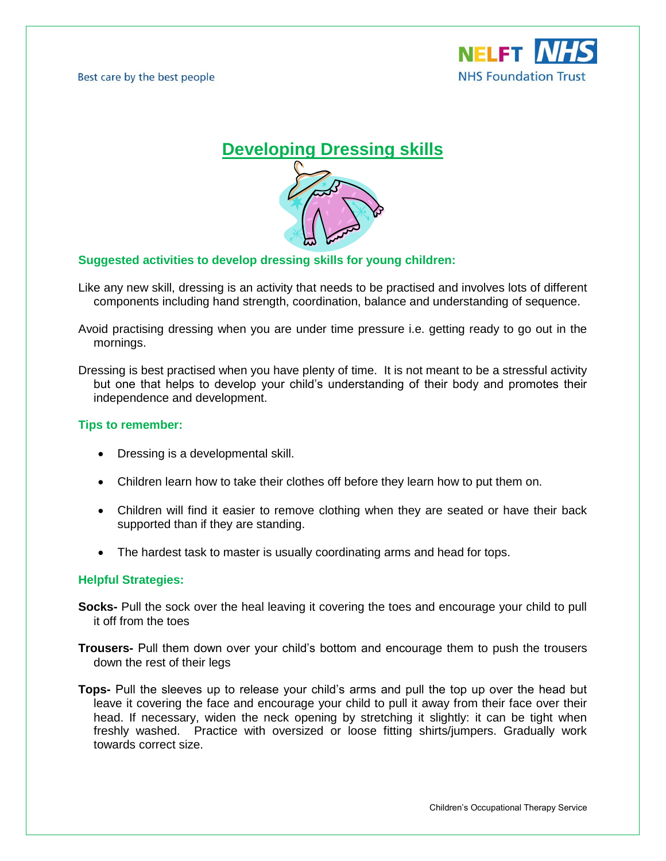Best care by the best people





### **Suggested activities to develop dressing skills for young children:**

- Like any new skill, dressing is an activity that needs to be practised and involves lots of different components including hand strength, coordination, balance and understanding of sequence.
- Avoid practising dressing when you are under time pressure i.e. getting ready to go out in the mornings.

Dressing is best practised when you have plenty of time. It is not meant to be a stressful activity but one that helps to develop your child's understanding of their body and promotes their independence and development.

#### **Tips to remember:**

- Dressing is a developmental skill.
- Children learn how to take their clothes off before they learn how to put them on.
- Children will find it easier to remove clothing when they are seated or have their back supported than if they are standing.
- The hardest task to master is usually coordinating arms and head for tops.

#### **Helpful Strategies:**

- **Socks-** Pull the sock over the heal leaving it covering the toes and encourage your child to pull it off from the toes
- **Trousers-** Pull them down over your child's bottom and encourage them to push the trousers down the rest of their legs
- **Tops-** Pull the sleeves up to release your child's arms and pull the top up over the head but leave it covering the face and encourage your child to pull it away from their face over their head. If necessary, widen the neck opening by stretching it slightly: it can be tight when freshly washed. Practice with oversized or loose fitting shirts/jumpers. Gradually work towards correct size.